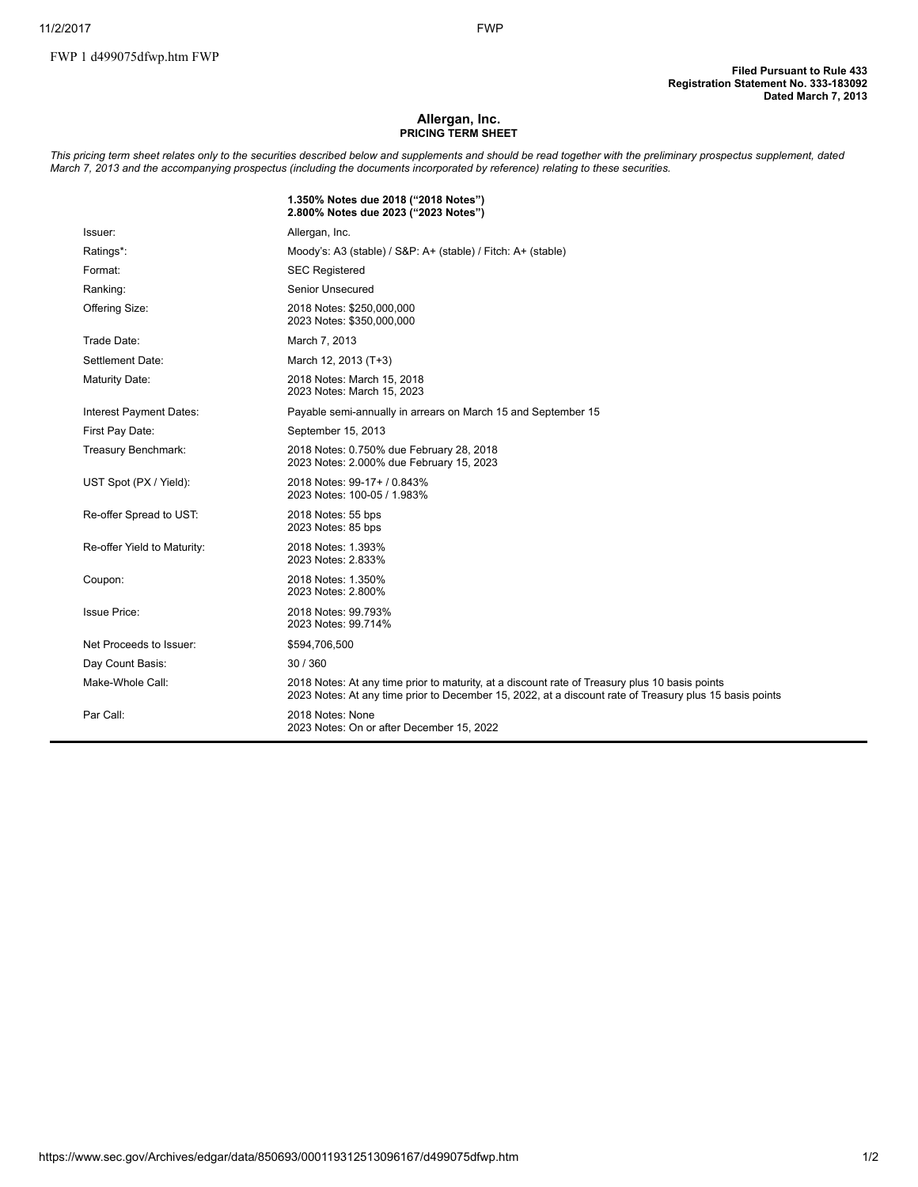## Allergan, Inc. PRICING TERM SHEET

This pricing term sheet relates only to the securities described below and supplements and should be read together with the preliminary prospectus supplement, dated March 7, 2013 and the accompanying prospectus (including the documents incorporated by reference) relating to these securities.

|                             | 1.350% Notes due 2018 ("2018 Notes")<br>2.800% Notes due 2023 ("2023 Notes")                                                                                                                              |
|-----------------------------|-----------------------------------------------------------------------------------------------------------------------------------------------------------------------------------------------------------|
| Issuer:                     | Allergan, Inc.                                                                                                                                                                                            |
| Ratings*:                   | Moody's: A3 (stable) / S&P: A+ (stable) / Fitch: A+ (stable)                                                                                                                                              |
| Format:                     | <b>SEC Registered</b>                                                                                                                                                                                     |
| Ranking:                    | <b>Senior Unsecured</b>                                                                                                                                                                                   |
| Offering Size:              | 2018 Notes: \$250,000,000<br>2023 Notes: \$350,000,000                                                                                                                                                    |
| Trade Date:                 | March 7, 2013                                                                                                                                                                                             |
| Settlement Date:            | March 12, 2013 (T+3)                                                                                                                                                                                      |
| <b>Maturity Date:</b>       | 2018 Notes: March 15, 2018<br>2023 Notes: March 15, 2023                                                                                                                                                  |
| Interest Payment Dates:     | Payable semi-annually in arrears on March 15 and September 15                                                                                                                                             |
| First Pay Date:             | September 15, 2013                                                                                                                                                                                        |
| Treasury Benchmark:         | 2018 Notes: 0.750% due February 28, 2018<br>2023 Notes: 2.000% due February 15, 2023                                                                                                                      |
| UST Spot (PX / Yield):      | 2018 Notes: 99-17+ / 0.843%<br>2023 Notes: 100-05 / 1.983%                                                                                                                                                |
| Re-offer Spread to UST:     | 2018 Notes: 55 bps<br>2023 Notes: 85 bps                                                                                                                                                                  |
| Re-offer Yield to Maturity: | 2018 Notes: 1.393%<br>2023 Notes: 2.833%                                                                                                                                                                  |
| Coupon:                     | 2018 Notes: 1.350%<br>2023 Notes: 2.800%                                                                                                                                                                  |
| <b>Issue Price:</b>         | 2018 Notes: 99.793%<br>2023 Notes: 99.714%                                                                                                                                                                |
| Net Proceeds to Issuer:     | \$594,706,500                                                                                                                                                                                             |
| Day Count Basis:            | 30/360                                                                                                                                                                                                    |
| Make-Whole Call:            | 2018 Notes: At any time prior to maturity, at a discount rate of Treasury plus 10 basis points<br>2023 Notes: At any time prior to December 15, 2022, at a discount rate of Treasury plus 15 basis points |
| Par Call:                   | 2018 Notes: None<br>2023 Notes: On or after December 15, 2022                                                                                                                                             |